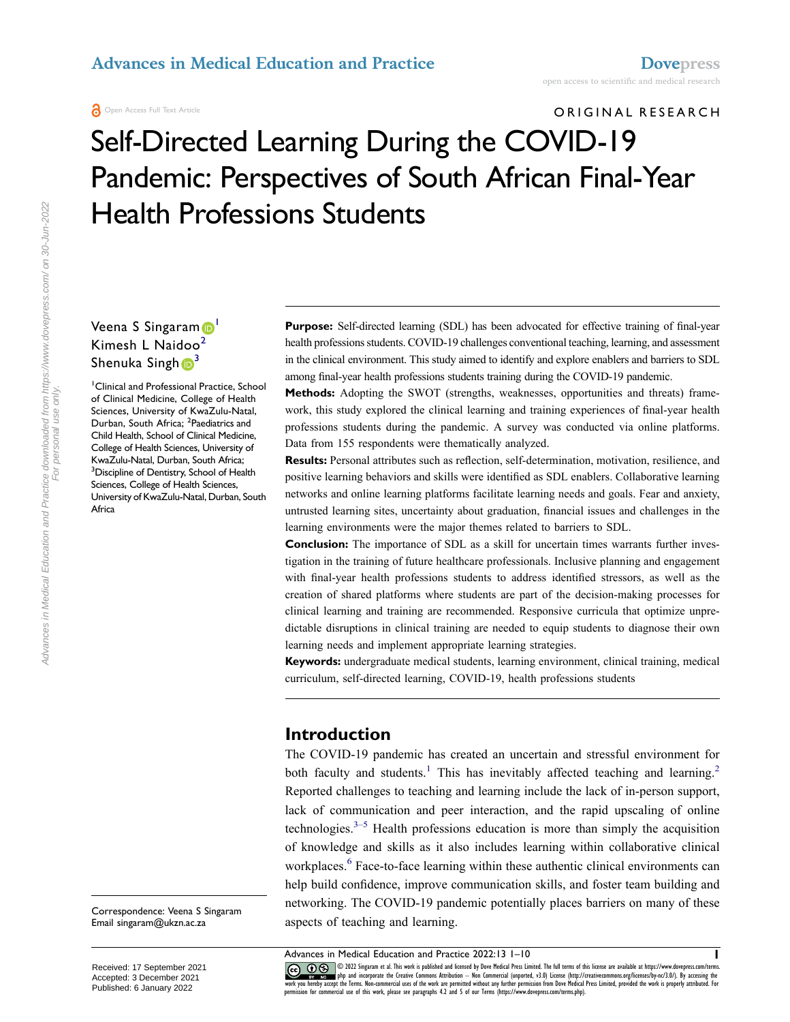# ORIGINAL RESEARCH Self-Directed Learning During the COVID-19 Pandemic: Perspectives of South African Final-Year Health Professions Students

### Veena S Singaram<sup>1</sup> Kimesh L Naidoo<sup>[2](#page-0-1)</sup> Shenuka Singh $\mathbb{D}^3$  $\mathbb{D}^3$

<span id="page-0-2"></span><span id="page-0-1"></span><span id="page-0-0"></span>1 Clinical and Professional Practice, School of Clinical Medicine, College of Health Sciences, University of KwaZulu-Natal, Durban, South Africa; <sup>2</sup>Paediatrics and Child Health, School of Clinical Medicine, College of Health Sciences, University of KwaZulu-Natal, Durban, South Africa; <sup>3</sup> Discipline of Dentistry, School of Health Sciences, College of Health Sciences, University of KwaZulu-Natal, Durban, South Africa

Purpose: Self-directed learning (SDL) has been advocated for effective training of final-year health professions students. COVID-19 challenges conventional teaching, learning, and assessment in the clinical environment. This study aimed to identify and explore enablers and barriers to SDL among final-year health professions students training during the COVID-19 pandemic.

**Methods:** Adopting the SWOT (strengths, weaknesses, opportunities and threats) framework, this study explored the clinical learning and training experiences of final-year health professions students during the pandemic. A survey was conducted via online platforms. Data from 155 respondents were thematically analyzed.

**Results:** Personal attributes such as reflection, self-determination, motivation, resilience, and positive learning behaviors and skills were identified as SDL enablers. Collaborative learning networks and online learning platforms facilitate learning needs and goals. Fear and anxiety, untrusted learning sites, uncertainty about graduation, financial issues and challenges in the learning environments were the major themes related to barriers to SDL.

**Conclusion:** The importance of SDL as a skill for uncertain times warrants further investigation in the training of future healthcare professionals. Inclusive planning and engagement with final-year health professions students to address identified stressors, as well as the creation of shared platforms where students are part of the decision-making processes for clinical learning and training are recommended. Responsive curricula that optimize unpredictable disruptions in clinical training are needed to equip students to diagnose their own learning needs and implement appropriate learning strategies.

**Keywords:** undergraduate medical students, learning environment, clinical training, medical curriculum, self-directed learning, COVID-19, health professions students

### **Introduction**

<span id="page-0-4"></span><span id="page-0-3"></span>The COVID-19 pandemic has created an uncertain and stressful environment for both faculty and students.<sup>[1](#page-8-0)</sup> This has inevitably affected teaching and learning.<sup>2</sup> Reported challenges to teaching and learning include the lack of in-person support, lack of communication and peer interaction, and the rapid upscaling of online technologies. $3-5$  $3-5$  Health professions education is more than simply the acquisition of knowledge and skills as it also includes learning within collaborative clinical workplaces.<sup>6</sup> Face-to-face learning within these authentic clinical environments can help build confidence, improve communication skills, and foster team building and networking. The COVID-19 pandemic potentially places barriers on many of these aspects of teaching and learning.

<span id="page-0-5"></span>Advances in Medical Education and Practice 2022:13 1–10 **1**

CO OD SUIS SUIS SUIS A This work is published and licensed by Dove Medical Press Limited. The full terms of this license are available at https://www.dovepress.com/terms.<br>work you hereby accept the Terms. Non-commercial us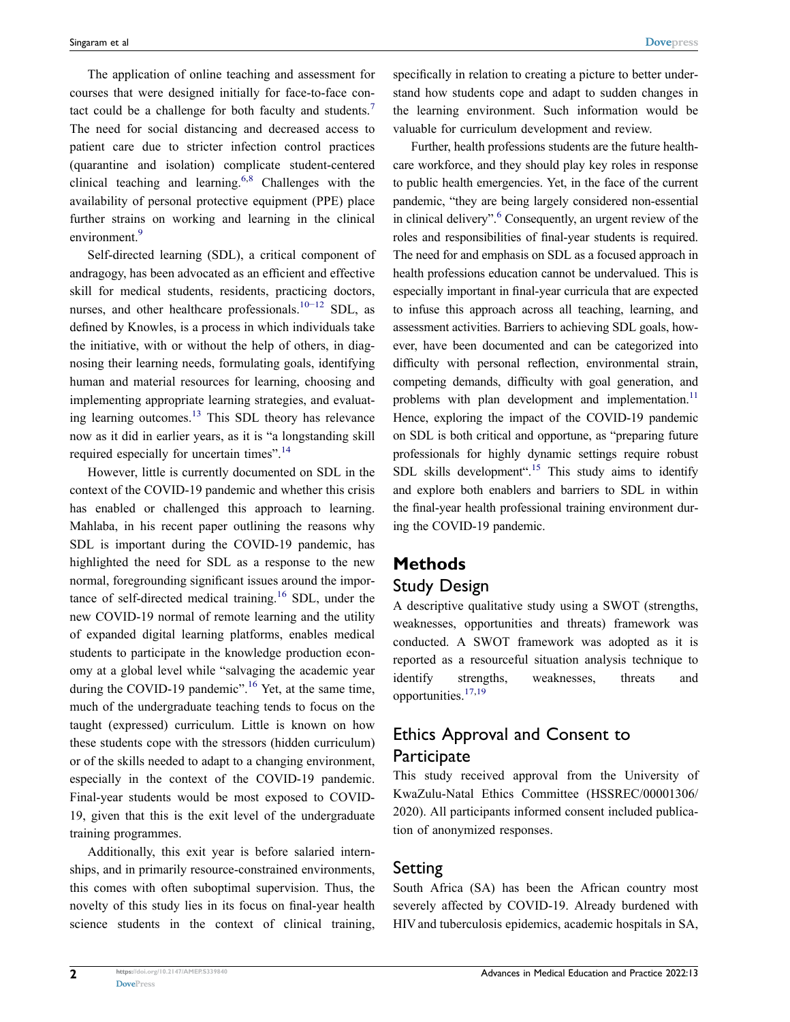<span id="page-1-0"></span>The application of online teaching and assessment for courses that were designed initially for face-to-face contact could be a challenge for both faculty and students.[7](#page-8-5)  The need for social distancing and decreased access to patient care due to stricter infection control practices (quarantine and isolation) complicate student-centered clinical teaching and learning.<sup>[6,](#page-8-4)[8](#page-8-6)</sup> Challenges with the availability of personal protective equipment (PPE) place further strains on working and learning in the clinical environment.<sup>9</sup>

<span id="page-1-3"></span><span id="page-1-2"></span><span id="page-1-1"></span>Self-directed learning (SDL), a critical component of andragogy, has been advocated as an efficient and effective skill for medical students, residents, practicing doctors, nurses, and other healthcare professionals.<sup>10−12</sup> SDL, as defined by Knowles, is a process in which individuals take the initiative, with or without the help of others, in diagnosing their learning needs, formulating goals, identifying human and material resources for learning, choosing and implementing appropriate learning strategies, and evaluating learning outcomes. $13$  This SDL theory has relevance now as it did in earlier years, as it is "a longstanding skill required especially for uncertain times".<sup>[14](#page-8-10)</sup>

<span id="page-1-6"></span><span id="page-1-5"></span>However, little is currently documented on SDL in the context of the COVID-19 pandemic and whether this crisis has enabled or challenged this approach to learning. Mahlaba, in his recent paper outlining the reasons why SDL is important during the COVID-19 pandemic, has highlighted the need for SDL as a response to the new normal, foregrounding significant issues around the impor-tance of self-directed medical training.<sup>[16](#page-8-11)</sup> SDL, under the new COVID-19 normal of remote learning and the utility of expanded digital learning platforms, enables medical students to participate in the knowledge production economy at a global level while "salvaging the academic year during the COVID-19 pandemic".<sup>16</sup> Yet, at the same time, much of the undergraduate teaching tends to focus on the taught (expressed) curriculum. Little is known on how these students cope with the stressors (hidden curriculum) or of the skills needed to adapt to a changing environment, especially in the context of the COVID-19 pandemic. Final-year students would be most exposed to COVID-19, given that this is the exit level of the undergraduate training programmes.

<span id="page-1-8"></span>Additionally, this exit year is before salaried internships, and in primarily resource-constrained environments, this comes with often suboptimal supervision. Thus, the novelty of this study lies in its focus on final-year health science students in the context of clinical training, specifically in relation to creating a picture to better understand how students cope and adapt to sudden changes in the learning environment. Such information would be valuable for curriculum development and review.

Further, health professions students are the future healthcare workforce, and they should play key roles in response to public health emergencies. Yet, in the face of the current pandemic, "they are being largely considered non-essential in clinical delivery".<sup>6</sup> Consequently, an urgent review of the roles and responsibilities of final-year students is required. The need for and emphasis on SDL as a focused approach in health professions education cannot be undervalued. This is especially important in final-year curricula that are expected to infuse this approach across all teaching, learning, and assessment activities. Barriers to achieving SDL goals, however, have been documented and can be categorized into difficulty with personal reflection, environmental strain, competing demands, difficulty with goal generation, and problems with plan development and implementation.<sup>11</sup> Hence, exploring the impact of the COVID-19 pandemic on SDL is both critical and opportune, as "preparing future professionals for highly dynamic settings require robust SDL skills development".<sup>15</sup> This study aims to identify and explore both enablers and barriers to SDL in within the final-year health professional training environment during the COVID-19 pandemic.

### <span id="page-1-7"></span><span id="page-1-4"></span>**Methods**

### Study Design

A descriptive qualitative study using a SWOT (strengths, weaknesses, opportunities and threats) framework was conducted. A SWOT framework was adopted as it is reported as a resourceful situation analysis technique to identify strengths, weaknesses, threats and opportunities[.17](#page-8-14)[,19](#page-8-15)

## <span id="page-1-9"></span>Ethics Approval and Consent to **Participate**

This study received approval from the University of KwaZulu-Natal Ethics Committee (HSSREC/00001306/ 2020). All participants informed consent included publication of anonymized responses.

### Setting

South Africa (SA) has been the African country most severely affected by COVID-19. Already burdened with HIV and tuberculosis epidemics, academic hospitals in SA,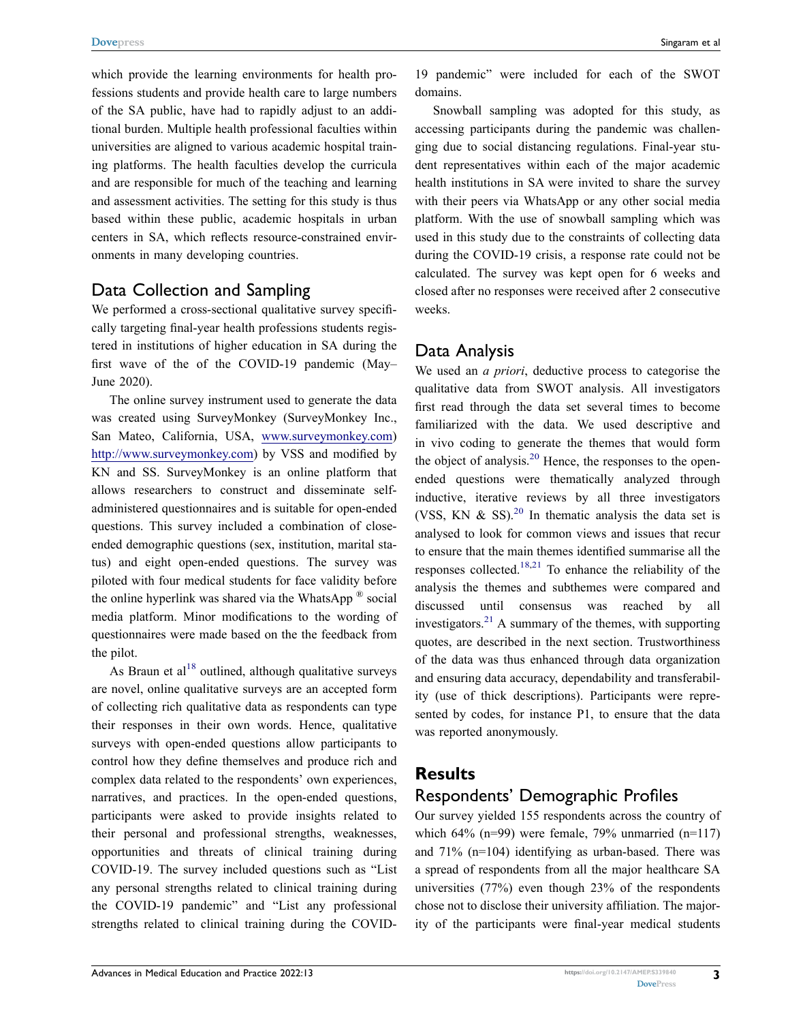which provide the learning environments for health professions students and provide health care to large numbers of the SA public, have had to rapidly adjust to an additional burden. Multiple health professional faculties within universities are aligned to various academic hospital training platforms. The health faculties develop the curricula and are responsible for much of the teaching and learning and assessment activities. The setting for this study is thus based within these public, academic hospitals in urban centers in SA, which reflects resource-constrained environments in many developing countries.

### Data Collection and Sampling

We performed a cross-sectional qualitative survey specifically targeting final-year health professions students registered in institutions of higher education in SA during the first wave of the of the COVID-19 pandemic (May– June 2020).

The online survey instrument used to generate the data was created using SurveyMonkey (SurveyMonkey Inc., San Mateo, California, USA, [www.surveymonkey.com](http://www.surveymonkey.com)) <http://www.surveymonkey.com>) by VSS and modified by KN and SS. SurveyMonkey is an online platform that allows researchers to construct and disseminate selfadministered questionnaires and is suitable for open-ended questions. This survey included a combination of closeended demographic questions (sex, institution, marital status) and eight open-ended questions. The survey was piloted with four medical students for face validity before the online hyperlink was shared via the WhatsApp  $^{\circledR}$  social media platform. Minor modifications to the wording of questionnaires were made based on the the feedback from the pilot.

As Braun et  $al^{18}$  $al^{18}$  $al^{18}$  outlined, although qualitative surveys are novel, online qualitative surveys are an accepted form of collecting rich qualitative data as respondents can type their responses in their own words. Hence, qualitative surveys with open-ended questions allow participants to control how they define themselves and produce rich and complex data related to the respondents' own experiences, narratives, and practices. In the open-ended questions, participants were asked to provide insights related to their personal and professional strengths, weaknesses, opportunities and threats of clinical training during COVID-19. The survey included questions such as "List any personal strengths related to clinical training during the COVID-19 pandemic" and "List any professional strengths related to clinical training during the COVID-

19 pandemic" were included for each of the SWOT domains.

Snowball sampling was adopted for this study, as accessing participants during the pandemic was challenging due to social distancing regulations. Final-year student representatives within each of the major academic health institutions in SA were invited to share the survey with their peers via WhatsApp or any other social media platform. With the use of snowball sampling which was used in this study due to the constraints of collecting data during the COVID-19 crisis, a response rate could not be calculated. The survey was kept open for 6 weeks and closed after no responses were received after 2 consecutive weeks.

### Data Analysis

<span id="page-2-1"></span><span id="page-2-0"></span>We used an *a priori*, deductive process to categorise the qualitative data from SWOT analysis. All investigators first read through the data set several times to become familiarized with the data. We used descriptive and in vivo coding to generate the themes that would form the object of analysis.<sup>[20](#page-8-17)</sup> Hence, the responses to the openended questions were thematically analyzed through inductive, iterative reviews by all three investigators (VSS, KN  $\&$  SS).<sup>20</sup> In thematic analysis the data set is analysed to look for common views and issues that recur to ensure that the main themes identified summarise all the responses collected.<sup>18,21</sup> To enhance the reliability of the analysis the themes and subthemes were compared and discussed until consensus was reached by all investigators.<sup>21</sup> A summary of the themes, with supporting quotes, are described in the next section. Trustworthiness of the data was thus enhanced through data organization and ensuring data accuracy, dependability and transferability (use of thick descriptions). Participants were represented by codes, for instance P1, to ensure that the data was reported anonymously.

### <span id="page-2-2"></span>**Results**

### Respondents' Demographic Profiles

Our survey yielded 155 respondents across the country of which 64% (n=99) were female, 79% unmarried (n=117) and 71% (n=104) identifying as urban-based. There was a spread of respondents from all the major healthcare SA universities (77%) even though 23% of the respondents chose not to disclose their university affiliation. The majority of the participants were final-year medical students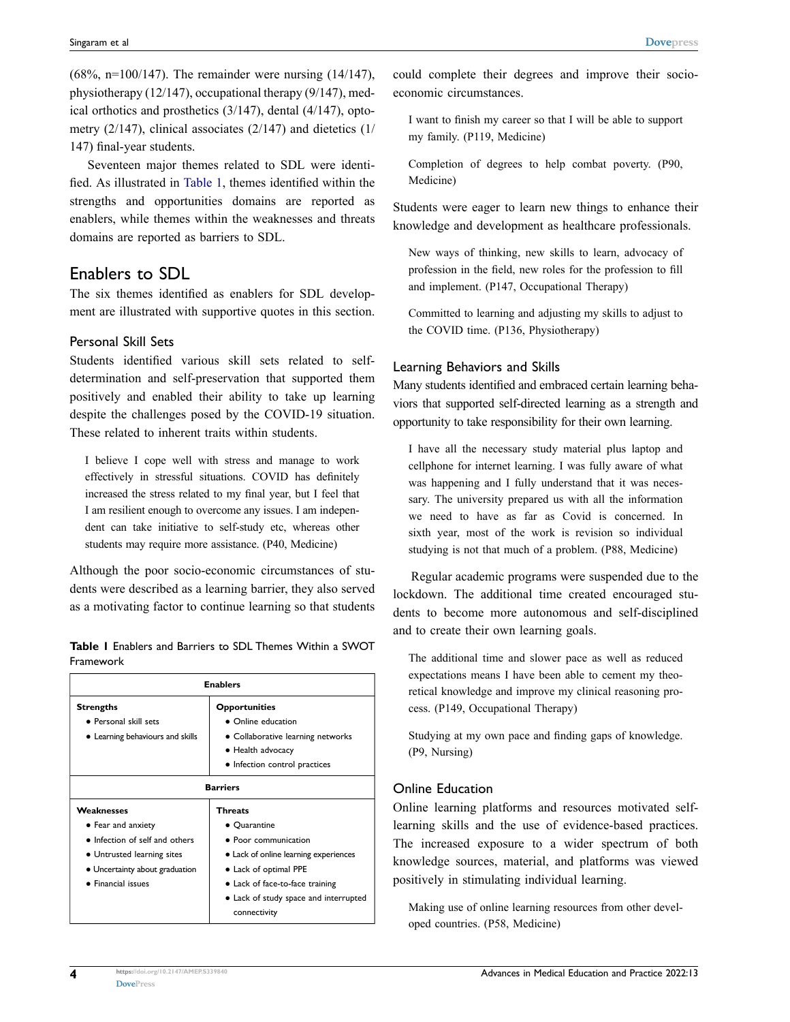(68%, n=100/147). The remainder were nursing (14/147), physiotherapy (12/147), occupational therapy (9/147), medical orthotics and prosthetics (3/147), dental (4/147), optometry (2/147), clinical associates (2/147) and dietetics (1/ 147) final-year students.

Seventeen major themes related to SDL were identified. As illustrated in [Table 1](#page-3-0), themes identified within the strengths and opportunities domains are reported as enablers, while themes within the weaknesses and threats domains are reported as barriers to SDL.

### Enablers to SDL

The six themes identified as enablers for SDL development are illustrated with supportive quotes in this section.

#### Personal Skill Sets

Students identified various skill sets related to selfdetermination and self-preservation that supported them positively and enabled their ability to take up learning despite the challenges posed by the COVID-19 situation. These related to inherent traits within students.

I believe I cope well with stress and manage to work effectively in stressful situations. COVID has definitely increased the stress related to my final year, but I feel that I am resilient enough to overcome any issues. I am independent can take initiative to self-study etc, whereas other students may require more assistance. (P40, Medicine)

Although the poor socio-economic circumstances of students were described as a learning barrier, they also served as a motivating factor to continue learning so that students

<span id="page-3-0"></span>**Table 1** Enablers and Barriers to SDL Themes Within a SWOT Framework

| <b>Enablers</b>                                                                                                                                          |                                                                                                                                                                                                               |
|----------------------------------------------------------------------------------------------------------------------------------------------------------|---------------------------------------------------------------------------------------------------------------------------------------------------------------------------------------------------------------|
| <b>Strengths</b><br>· Personal skill sets<br>• Learning behaviours and skills                                                                            | <b>Opportunities</b><br>• Online education<br>• Collaborative learning networks<br>• Health advocacy<br>• Infection control practices                                                                         |
| <b>Barriers</b>                                                                                                                                          |                                                                                                                                                                                                               |
| Weaknesses<br>• Fear and anxiety<br>• Infection of self and others<br>• Untrusted learning sites<br>• Uncertainty about graduation<br>• Financial issues | Threats<br>• Quarantine<br>• Poor communication<br>• Lack of online learning experiences<br>• Lack of optimal PPE<br>• Lack of face-to-face training<br>• Lack of study space and interrupted<br>connectivity |

could complete their degrees and improve their socioeconomic circumstances.

I want to finish my career so that I will be able to support my family. (P119, Medicine)

Completion of degrees to help combat poverty. (P90, Medicine)

Students were eager to learn new things to enhance their knowledge and development as healthcare professionals.

New ways of thinking, new skills to learn, advocacy of profession in the field, new roles for the profession to fill and implement. (P147, Occupational Therapy)

Committed to learning and adjusting my skills to adjust to the COVID time. (P136, Physiotherapy)

#### Learning Behaviors and Skills

Many students identified and embraced certain learning behaviors that supported self-directed learning as a strength and opportunity to take responsibility for their own learning.

I have all the necessary study material plus laptop and cellphone for internet learning. I was fully aware of what was happening and I fully understand that it was necessary. The university prepared us with all the information we need to have as far as Covid is concerned. In sixth year, most of the work is revision so individual studying is not that much of a problem. (P88, Medicine)

Regular academic programs were suspended due to the lockdown. The additional time created encouraged students to become more autonomous and self-disciplined and to create their own learning goals.

The additional time and slower pace as well as reduced expectations means I have been able to cement my theoretical knowledge and improve my clinical reasoning process. (P149, Occupational Therapy)

Studying at my own pace and finding gaps of knowledge. (P9, Nursing)

#### Online Education

Online learning platforms and resources motivated selflearning skills and the use of evidence-based practices. The increased exposure to a wider spectrum of both knowledge sources, material, and platforms was viewed positively in stimulating individual learning.

Making use of online learning resources from other developed countries. (P58, Medicine)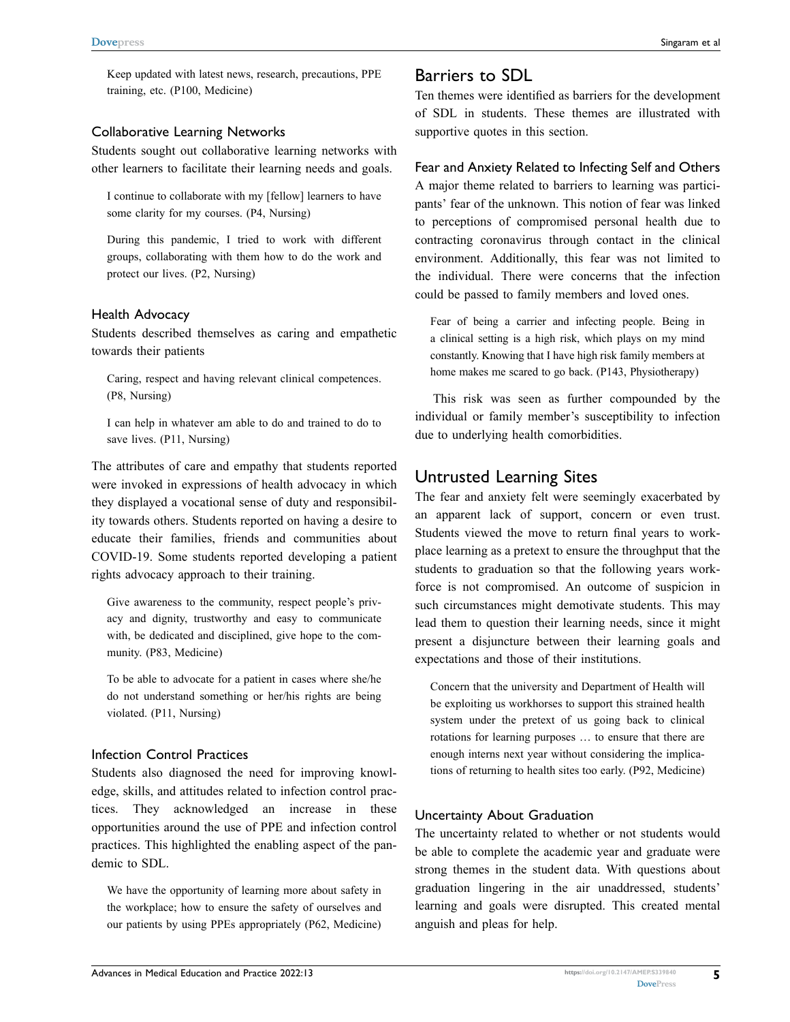Keep updated with latest news, research, precautions, PPE training, etc. (P100, Medicine)

#### Collaborative Learning Networks

Students sought out collaborative learning networks with other learners to facilitate their learning needs and goals.

I continue to collaborate with my [fellow] learners to have some clarity for my courses. (P4, Nursing)

During this pandemic, I tried to work with different groups, collaborating with them how to do the work and protect our lives. (P2, Nursing)

#### Health Advocacy

Students described themselves as caring and empathetic towards their patients

Caring, respect and having relevant clinical competences. (P8, Nursing)

I can help in whatever am able to do and trained to do to save lives. (P11, Nursing)

The attributes of care and empathy that students reported were invoked in expressions of health advocacy in which they displayed a vocational sense of duty and responsibility towards others. Students reported on having a desire to educate their families, friends and communities about COVID-19. Some students reported developing a patient rights advocacy approach to their training.

Give awareness to the community, respect people's privacy and dignity, trustworthy and easy to communicate with, be dedicated and disciplined, give hope to the community. (P83, Medicine)

To be able to advocate for a patient in cases where she/he do not understand something or her/his rights are being violated. (P11, Nursing)

#### Infection Control Practices

Students also diagnosed the need for improving knowledge, skills, and attitudes related to infection control practices. They acknowledged an increase in these opportunities around the use of PPE and infection control practices. This highlighted the enabling aspect of the pandemic to SDL.

We have the opportunity of learning more about safety in the workplace; how to ensure the safety of ourselves and our patients by using PPEs appropriately (P62, Medicine)

### Barriers to SDL

Ten themes were identified as barriers for the development of SDL in students. These themes are illustrated with supportive quotes in this section.

#### Fear and Anxiety Related to Infecting Self and Others

A major theme related to barriers to learning was participants' fear of the unknown. This notion of fear was linked to perceptions of compromised personal health due to contracting coronavirus through contact in the clinical environment. Additionally, this fear was not limited to the individual. There were concerns that the infection could be passed to family members and loved ones.

Fear of being a carrier and infecting people. Being in a clinical setting is a high risk, which plays on my mind constantly. Knowing that I have high risk family members at home makes me scared to go back. (P143, Physiotherapy)

This risk was seen as further compounded by the individual or family member's susceptibility to infection due to underlying health comorbidities.

### Untrusted Learning Sites

The fear and anxiety felt were seemingly exacerbated by an apparent lack of support, concern or even trust. Students viewed the move to return final years to workplace learning as a pretext to ensure the throughput that the students to graduation so that the following years workforce is not compromised. An outcome of suspicion in such circumstances might demotivate students. This may lead them to question their learning needs, since it might present a disjuncture between their learning goals and expectations and those of their institutions.

Concern that the university and Department of Health will be exploiting us workhorses to support this strained health system under the pretext of us going back to clinical rotations for learning purposes … to ensure that there are enough interns next year without considering the implications of returning to health sites too early. (P92, Medicine)

#### Uncertainty About Graduation

The uncertainty related to whether or not students would be able to complete the academic year and graduate were strong themes in the student data. With questions about graduation lingering in the air unaddressed, students' learning and goals were disrupted. This created mental anguish and pleas for help.

**5**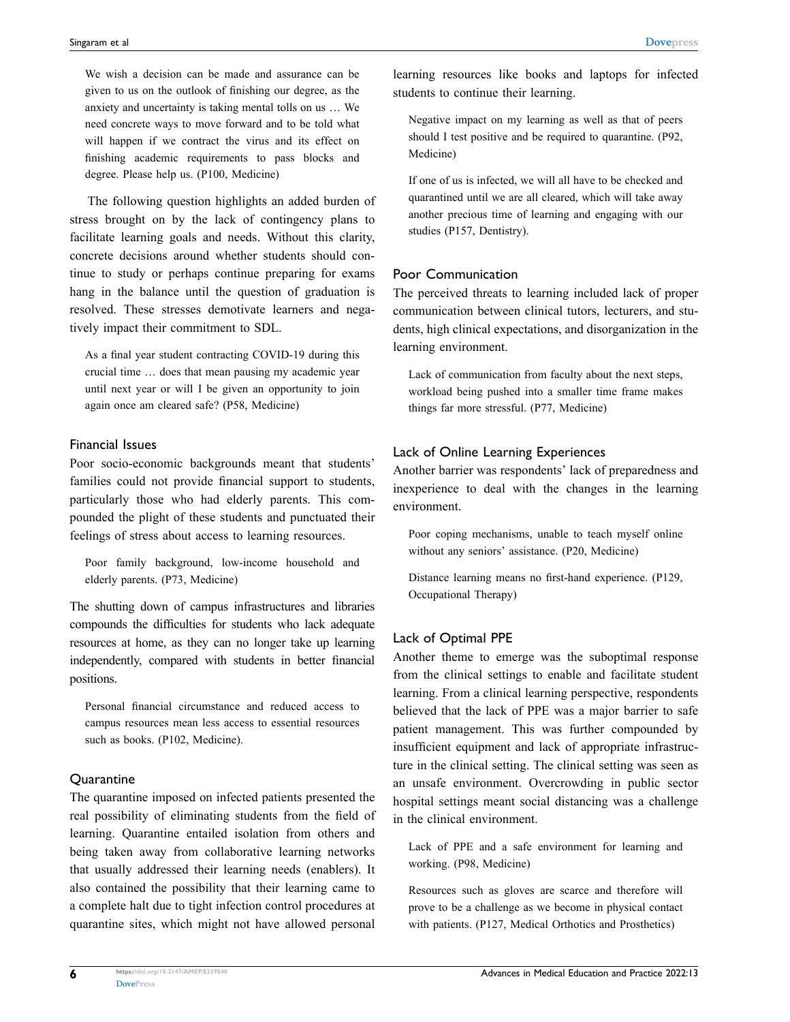We wish a decision can be made and assurance can be given to us on the outlook of finishing our degree, as the anxiety and uncertainty is taking mental tolls on us … We need concrete ways to move forward and to be told what will happen if we contract the virus and its effect on finishing academic requirements to pass blocks and degree. Please help us. (P100, Medicine)

The following question highlights an added burden of stress brought on by the lack of contingency plans to facilitate learning goals and needs. Without this clarity, concrete decisions around whether students should continue to study or perhaps continue preparing for exams hang in the balance until the question of graduation is resolved. These stresses demotivate learners and negatively impact their commitment to SDL.

As a final year student contracting COVID-19 during this crucial time … does that mean pausing my academic year until next year or will I be given an opportunity to join again once am cleared safe? (P58, Medicine)

#### Financial Issues

Poor socio-economic backgrounds meant that students' families could not provide financial support to students, particularly those who had elderly parents. This compounded the plight of these students and punctuated their feelings of stress about access to learning resources.

Poor family background, low-income household and elderly parents. (P73, Medicine)

The shutting down of campus infrastructures and libraries compounds the difficulties for students who lack adequate resources at home, as they can no longer take up learning independently, compared with students in better financial positions.

Personal financial circumstance and reduced access to campus resources mean less access to essential resources such as books. (P102, Medicine).

#### **Quarantine**

The quarantine imposed on infected patients presented the real possibility of eliminating students from the field of learning. Quarantine entailed isolation from others and being taken away from collaborative learning networks that usually addressed their learning needs (enablers). It also contained the possibility that their learning came to a complete halt due to tight infection control procedures at quarantine sites, which might not have allowed personal

learning resources like books and laptops for infected students to continue their learning.

Negative impact on my learning as well as that of peers should I test positive and be required to quarantine. (P92, Medicine)

If one of us is infected, we will all have to be checked and quarantined until we are all cleared, which will take away another precious time of learning and engaging with our studies (P157, Dentistry).

#### Poor Communication

The perceived threats to learning included lack of proper communication between clinical tutors, lecturers, and students, high clinical expectations, and disorganization in the learning environment.

Lack of communication from faculty about the next steps, workload being pushed into a smaller time frame makes things far more stressful. (P77, Medicine)

#### Lack of Online Learning Experiences

Another barrier was respondents' lack of preparedness and inexperience to deal with the changes in the learning environment.

Poor coping mechanisms, unable to teach myself online without any seniors' assistance. (P20, Medicine)

Distance learning means no first-hand experience. (P129, Occupational Therapy)

#### Lack of Optimal PPE

Another theme to emerge was the suboptimal response from the clinical settings to enable and facilitate student learning. From a clinical learning perspective, respondents believed that the lack of PPE was a major barrier to safe patient management. This was further compounded by insufficient equipment and lack of appropriate infrastructure in the clinical setting. The clinical setting was seen as an unsafe environment. Overcrowding in public sector hospital settings meant social distancing was a challenge in the clinical environment.

Lack of PPE and a safe environment for learning and working. (P98, Medicine)

Resources such as gloves are scarce and therefore will prove to be a challenge as we become in physical contact with patients. (P127, Medical Orthotics and Prosthetics)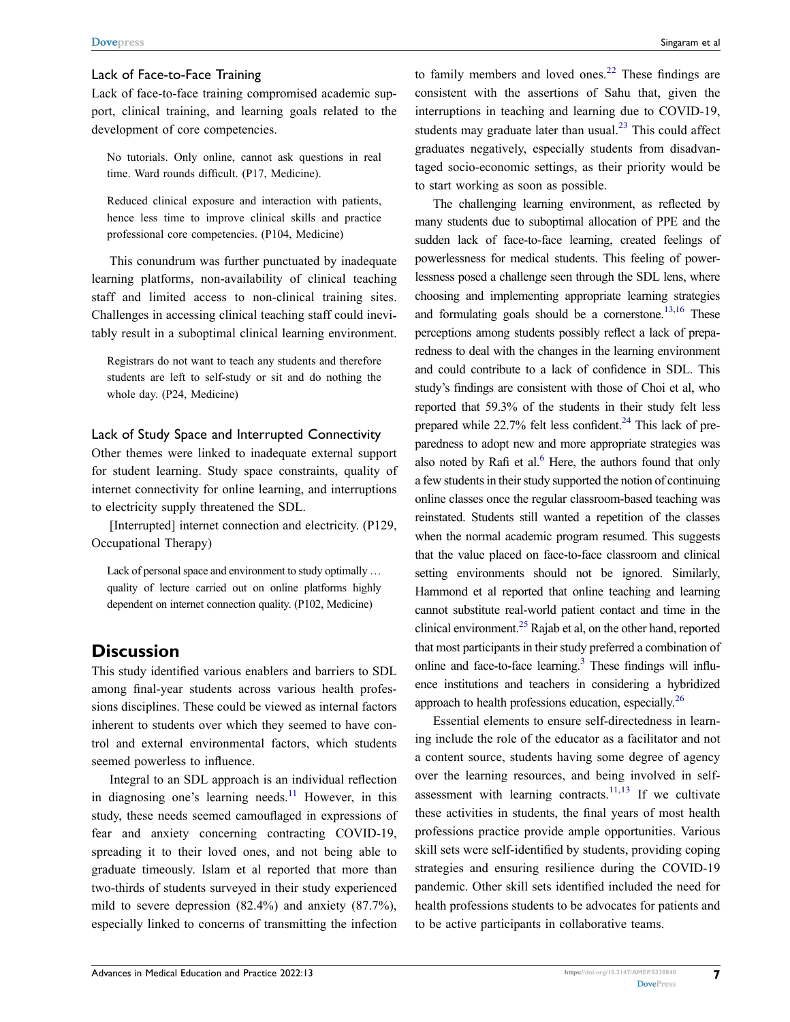#### Lack of Face-to-Face Training

Lack of face-to-face training compromised academic support, clinical training, and learning goals related to the development of core competencies.

No tutorials. Only online, cannot ask questions in real time. Ward rounds difficult. (P17, Medicine).

Reduced clinical exposure and interaction with patients, hence less time to improve clinical skills and practice professional core competencies. (P104, Medicine)

This conundrum was further punctuated by inadequate learning platforms, non-availability of clinical teaching staff and limited access to non-clinical training sites. Challenges in accessing clinical teaching staff could inevitably result in a suboptimal clinical learning environment.

Registrars do not want to teach any students and therefore students are left to self-study or sit and do nothing the whole day. (P24, Medicine)

#### Lack of Study Space and Interrupted Connectivity

Other themes were linked to inadequate external support for student learning. Study space constraints, quality of internet connectivity for online learning, and interruptions to electricity supply threatened the SDL.

[Interrupted] internet connection and electricity. (P129, Occupational Therapy)

Lack of personal space and environment to study optimally ... quality of lecture carried out on online platforms highly dependent on internet connection quality. (P102, Medicine)

### **Discussion**

This study identified various enablers and barriers to SDL among final-year students across various health professions disciplines. These could be viewed as internal factors inherent to students over which they seemed to have control and external environmental factors, which students seemed powerless to influence.

Integral to an SDL approach is an individual reflection in diagnosing one's learning needs. $11$  However, in this study, these needs seemed camouflaged in expressions of fear and anxiety concerning contracting COVID-19, spreading it to their loved ones, and not being able to graduate timeously. Islam et al reported that more than two-thirds of students surveyed in their study experienced mild to severe depression (82.4%) and anxiety (87.7%), especially linked to concerns of transmitting the infection

<span id="page-6-1"></span><span id="page-6-0"></span>to family members and loved ones.<sup>22</sup> These findings are consistent with the assertions of Sahu that, given the interruptions in teaching and learning due to COVID-19, students may graduate later than usual. $2<sup>3</sup>$  This could affect graduates negatively, especially students from disadvantaged socio-economic settings, as their priority would be to start working as soon as possible.

<span id="page-6-2"></span>The challenging learning environment, as reflected by many students due to suboptimal allocation of PPE and the sudden lack of face-to-face learning, created feelings of powerlessness for medical students. This feeling of powerlessness posed a challenge seen through the SDL lens, where choosing and implementing appropriate learning strategies and formulating goals should be a cornerstone.<sup>[13](#page-8-9),16</sup> These perceptions among students possibly reflect a lack of preparedness to deal with the changes in the learning environment and could contribute to a lack of confidence in SDL. This study's findings are consistent with those of Choi et al, who reported that 59.3% of the students in their study felt less prepared while  $22.7\%$  felt less confident.<sup>24</sup> This lack of preparedness to adopt new and more appropriate strategies was also noted by Rafi et al. $<sup>6</sup>$  Here, the authors found that only</sup> a few students in their study supported the notion of continuing online classes once the regular classroom-based teaching was reinstated. Students still wanted a repetition of the classes when the normal academic program resumed. This suggests that the value placed on face-to-face classroom and clinical setting environments should not be ignored. Similarly, Hammond et al reported that online teaching and learning cannot substitute real-world patient contact and time in the clinical environment.<sup>25</sup> Rajab et al, on the other hand, reported that most participants in their study preferred a combination of online and face-to-face learning.<sup>3</sup> These findings will influence institutions and teachers in considering a hybridized approach to health professions education, especially.<sup>26</sup>

<span id="page-6-4"></span><span id="page-6-3"></span>Essential elements to ensure self-directedness in learning include the role of the educator as a facilitator and not a content source, students having some degree of agency over the learning resources, and being involved in self-assessment with learning contracts.<sup>[11](#page-8-12),13</sup> If we cultivate these activities in students, the final years of most health professions practice provide ample opportunities. Various skill sets were self-identified by students, providing coping strategies and ensuring resilience during the COVID-19 pandemic. Other skill sets identified included the need for health professions students to be advocates for patients and to be active participants in collaborative teams.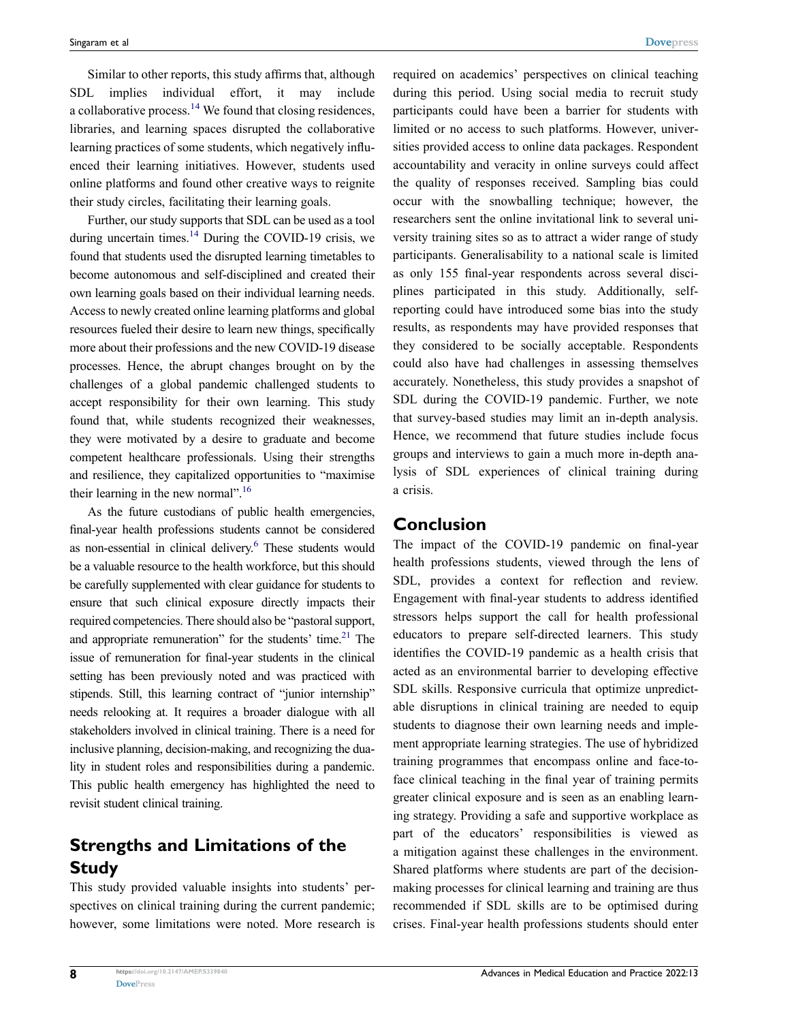Similar to other reports, this study affirms that, although SDL implies individual effort, it may include a collaborative process. $14$  We found that closing residences, libraries, and learning spaces disrupted the collaborative learning practices of some students, which negatively influenced their learning initiatives. However, students used online platforms and found other creative ways to reignite their study circles, facilitating their learning goals.

Further, our study supports that SDL can be used as a tool during uncertain times. $14$  During the COVID-19 crisis, we found that students used the disrupted learning timetables to become autonomous and self-disciplined and created their own learning goals based on their individual learning needs. Access to newly created online learning platforms and global resources fueled their desire to learn new things, specifically more about their professions and the new COVID-19 disease processes. Hence, the abrupt changes brought on by the challenges of a global pandemic challenged students to accept responsibility for their own learning. This study found that, while students recognized their weaknesses, they were motivated by a desire to graduate and become competent healthcare professionals. Using their strengths and resilience, they capitalized opportunities to "maximise their learning in the new normal".<sup>[16](#page-8-11)</sup>

As the future custodians of public health emergencies, final-year health professions students cannot be considered as non-essential in clinical delivery.<sup>[6](#page-8-4)</sup> These students would be a valuable resource to the health workforce, but this should be carefully supplemented with clear guidance for students to ensure that such clinical exposure directly impacts their required competencies. There should also be "pastoral support, and appropriate remuneration" for the students' time. $21$  The issue of remuneration for final-year students in the clinical setting has been previously noted and was practiced with stipends. Still, this learning contract of "junior internship" needs relooking at. It requires a broader dialogue with all stakeholders involved in clinical training. There is a need for inclusive planning, decision-making, and recognizing the duality in student roles and responsibilities during a pandemic. This public health emergency has highlighted the need to revisit student clinical training.

### **Strengths and Limitations of the Study**

This study provided valuable insights into students' perspectives on clinical training during the current pandemic; however, some limitations were noted. More research is required on academics' perspectives on clinical teaching during this period. Using social media to recruit study participants could have been a barrier for students with limited or no access to such platforms. However, universities provided access to online data packages. Respondent accountability and veracity in online surveys could affect the quality of responses received. Sampling bias could occur with the snowballing technique; however, the researchers sent the online invitational link to several university training sites so as to attract a wider range of study participants. Generalisability to a national scale is limited as only 155 final-year respondents across several disciplines participated in this study. Additionally, selfreporting could have introduced some bias into the study results, as respondents may have provided responses that they considered to be socially acceptable. Respondents could also have had challenges in assessing themselves accurately. Nonetheless, this study provides a snapshot of SDL during the COVID-19 pandemic. Further, we note that survey-based studies may limit an in-depth analysis. Hence, we recommend that future studies include focus groups and interviews to gain a much more in-depth analysis of SDL experiences of clinical training during a crisis.

### **Conclusion**

The impact of the COVID-19 pandemic on final-year health professions students, viewed through the lens of SDL, provides a context for reflection and review. Engagement with final-year students to address identified stressors helps support the call for health professional educators to prepare self-directed learners. This study identifies the COVID-19 pandemic as a health crisis that acted as an environmental barrier to developing effective SDL skills. Responsive curricula that optimize unpredictable disruptions in clinical training are needed to equip students to diagnose their own learning needs and implement appropriate learning strategies. The use of hybridized training programmes that encompass online and face-toface clinical teaching in the final year of training permits greater clinical exposure and is seen as an enabling learning strategy. Providing a safe and supportive workplace as part of the educators' responsibilities is viewed as a mitigation against these challenges in the environment. Shared platforms where students are part of the decisionmaking processes for clinical learning and training are thus recommended if SDL skills are to be optimised during crises. Final-year health professions students should enter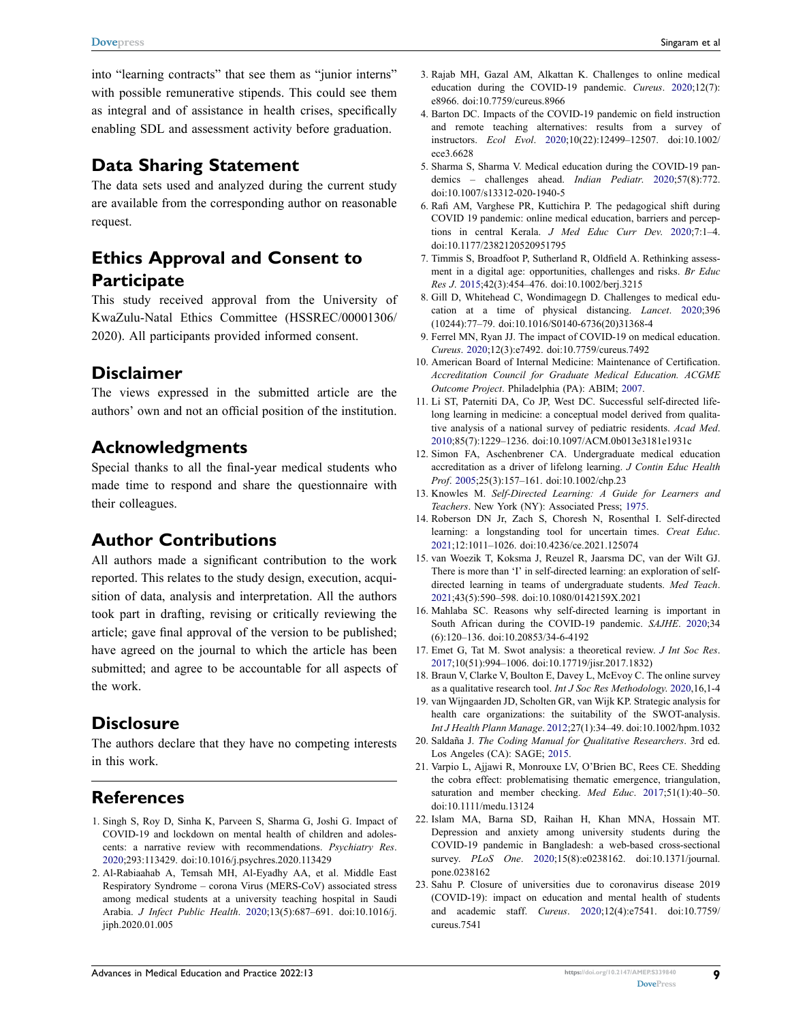into "learning contracts" that see them as "junior interns" with possible remunerative stipends. This could see them as integral and of assistance in health crises, specifically enabling SDL and assessment activity before graduation.

### **Data Sharing Statement**

The data sets used and analyzed during the current study are available from the corresponding author on reasonable request.

## **Ethics Approval and Consent to Participate**

This study received approval from the University of KwaZulu-Natal Ethics Committee (HSSREC/00001306/ 2020). All participants provided informed consent.

### **Disclaimer**

The views expressed in the submitted article are the authors' own and not an official position of the institution.

### **Acknowledgments**

Special thanks to all the final-year medical students who made time to respond and share the questionnaire with their colleagues.

### **Author Contributions**

All authors made a significant contribution to the work reported. This relates to the study design, execution, acquisition of data, analysis and interpretation. All the authors took part in drafting, revising or critically reviewing the article; gave final approval of the version to be published; have agreed on the journal to which the article has been submitted; and agree to be accountable for all aspects of the work.

### **Disclosure**

The authors declare that they have no competing interests in this work.

### **References**

- <span id="page-8-0"></span>1. Singh S, Roy D, Sinha K, Parveen S, Sharma G, Joshi G. Impact of COVID-19 and lockdown on mental health of children and adolescents: a narrative review with recommendations. *Psychiatry Res*. [2020;](#page-0-3)293:113429. doi:[10.1016/j.psychres.2020.113429](https://doi.org/10.1016/j.psychres.2020.113429)
- <span id="page-8-1"></span>2. Al-Rabiaahab A, Temsah MH, Al-Eyadhy AA, et al. Middle East Respiratory Syndrome – corona Virus (MERS-CoV) associated stress among medical students at a university teaching hospital in Saudi Arabia. *J Infect Public Health*. [2020;](#page-0-3)13(5):687–691. doi:[10.1016/j.](https://doi.org/10.1016/j.jiph.2020.01.005)  [jiph.2020.01.005](https://doi.org/10.1016/j.jiph.2020.01.005)
- <span id="page-8-2"></span>3. Rajab MH, Gazal AM, Alkattan K. Challenges to online medical education during the COVID-19 pandemic. *Cureus*. [2020;](#page-0-4)12(7): e8966. doi:[10.7759/cureus.8966](https://doi.org/10.7759/cureus.8966)
- 4. Barton DC. Impacts of the COVID-19 pandemic on field instruction and remote teaching alternatives: results from a survey of instructors. *Ecol Evol*. 2020;10(22):12499–12507. doi:[10.1002/](https://doi.org/10.1002/ece3.6628) [ece3.6628](https://doi.org/10.1002/ece3.6628)
- <span id="page-8-3"></span>5. Sharma S, Sharma V. Medical education during the COVID-19 pandemics – challenges ahead. *Indian Pediatr*. 2020;57(8):772. doi:[10.1007/s13312-020-1940-5](https://doi.org/10.1007/s13312-020-1940-5)
- <span id="page-8-4"></span>6. Rafi AM, Varghese PR, Kuttichira P. The pedagogical shift during COVID 19 pandemic: online medical education, barriers and perceptions in central Kerala. *J Med Educ Curr Dev*. [2020;](#page-0-5)7:1–4. doi:[10.1177/2382120520951795](https://doi.org/10.1177/2382120520951795)
- <span id="page-8-5"></span>7. Timmis S, Broadfoot P, Sutherland R, Oldfield A. Rethinking assessment in a digital age: opportunities, challenges and risks. *Br Educ Res J*. [2015;](#page-1-0)42(3):454–476. doi:[10.1002/berj.3215](https://doi.org/10.1002/berj.3215)
- <span id="page-8-6"></span>8. Gill D, Whitehead C, Wondimagegn D. Challenges to medical education at a time of physical distancing. *Lancet*. [2020](#page-1-1);396 (10244):77–79. doi:[10.1016/S0140-6736\(20\)31368-4](https://doi.org/10.1016/S0140-6736(20)31368-4)
- <span id="page-8-7"></span>9. Ferrel MN, Ryan JJ. The impact of COVID-19 on medical education. *Cureus*. [2020;](#page-1-2)12(3):e7492. doi:[10.7759/cureus.7492](https://doi.org/10.7759/cureus.7492)
- <span id="page-8-8"></span>10. American Board of Internal Medicine: Maintenance of Certification. *Accreditation Council for Graduate Medical Education. ACGME Outcome Project*. Philadelphia (PA): ABIM; [2007](#page-1-3).
- <span id="page-8-12"></span>11. Li ST, Paterniti DA, Co JP, West DC. Successful self-directed lifelong learning in medicine: a conceptual model derived from qualitative analysis of a national survey of pediatric residents. *Acad Med*. [2010](#page-1-4);85(7):1229–1236. doi:[10.1097/ACM.0b013e3181e1931c](https://doi.org/10.1097/ACM.0b013e3181e1931c)
- 12. Simon FA, Aschenbrener CA. Undergraduate medical education accreditation as a driver of lifelong learning. *J Contin Educ Health Prof*. 2005;25(3):157–161. doi:[10.1002/chp.23](https://doi.org/10.1002/chp.23)
- <span id="page-8-9"></span>13. Knowles M. *Self-Directed Learning: A Guide for Learners and Teachers*. New York (NY): Associated Press; [1975](#page-1-5).
- <span id="page-8-10"></span>14. Roberson DN Jr, Zach S, Choresh N, Rosenthal I. Self-directed learning: a longstanding tool for uncertain times. *Creat Educ*. [2021](#page-1-6);12:1011–1026. doi:[10.4236/ce.2021.125074](https://doi.org/10.4236/ce.2021.125074)
- <span id="page-8-13"></span>15. van Woezik T, Koksma J, Reuzel R, Jaarsma DC, van der Wilt GJ. There is more than 'I' in self-directed learning: an exploration of selfdirected learning in teams of undergraduate students. *Med Teach*. [2021](#page-1-7);43(5):590–598. doi:[10.1080/0142159X.2021](https://doi.org/10.1080/0142159X.2021)
- <span id="page-8-11"></span>16. Mahlaba SC. Reasons why self-directed learning is important in South African during the COVID-19 pandemic. *SAJHE*. [2020](#page-1-8);34 (6):120–136. doi:[10.20853/34-6-4192](https://doi.org/10.20853/34-6-4192)
- <span id="page-8-14"></span>17. Emet G, Tat M. Swot analysis: a theoretical review. *J Int Soc Res*. [2017](#page-1-9);10(51):994–1006. doi:[10.17719/jisr.2017.1832\)](https://doi.org/10.17719/jisr.2017.1832))
- <span id="page-8-16"></span>18. Braun V, Clarke V, Boulton E, Davey L, McEvoy C. The online survey as a qualitative research tool. *Int J Soc Res Methodology*. [2020,](#page-2-0)16,1-4
- <span id="page-8-15"></span>19. van Wijngaarden JD, Scholten GR, van Wijk KP. Strategic analysis for health care organizations: the suitability of the SWOT-analysis. *Int J Health Plann Manage*. [2012](#page-1-9);27(1):34–49. doi:[10.1002/hpm.1032](https://doi.org/10.1002/hpm.1032)
- <span id="page-8-17"></span>20. Saldaña J. *The Coding Manual for Qualitative Researchers*. 3rd ed. Los Angeles (CA): SAGE; [2015.](#page-2-1)
- <span id="page-8-18"></span>21. Varpio L, Ajjawi R, Monrouxe LV, O'Brien BC, Rees CE. Shedding the cobra effect: problematising thematic emergence, triangulation, saturation and member checking. *Med Educ*. [2017;](#page-2-2)51(1):40–50. doi:[10.1111/medu.13124](https://doi.org/10.1111/medu.13124)
- <span id="page-8-19"></span>22. Islam MA, Barna SD, Raihan H, Khan MNA, Hossain MT. Depression and anxiety among university students during the COVID-19 pandemic in Bangladesh: a web-based cross-sectional survey. *PLoS One*. [2020;](#page-6-0)15(8):e0238162. doi:[10.1371/journal.](https://doi.org/10.1371/journal.pone.0238162) [pone.0238162](https://doi.org/10.1371/journal.pone.0238162)
- <span id="page-8-20"></span>23. Sahu P. Closure of universities due to coronavirus disease 2019 (COVID-19): impact on education and mental health of students and academic staff. *Cureus*. [2020](#page-6-1);12(4):e7541. doi:[10.7759/](https://doi.org/10.7759/cureus.7541) [cureus.7541](https://doi.org/10.7759/cureus.7541)